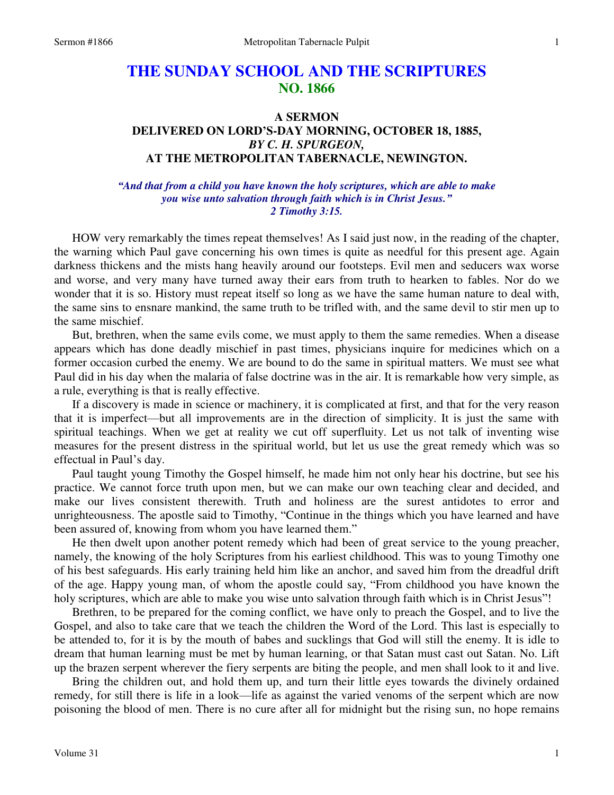# **THE SUNDAY SCHOOL AND THE SCRIPTURES NO. 1866**

## **A SERMON DELIVERED ON LORD'S-DAY MORNING, OCTOBER 18, 1885,**  *BY C. H. SPURGEON,*  **AT THE METROPOLITAN TABERNACLE, NEWINGTON.**

#### *"And that from a child you have known the holy scriptures, which are able to make you wise unto salvation through faith which is in Christ Jesus." 2 Timothy 3:15.*

HOW very remarkably the times repeat themselves! As I said just now, in the reading of the chapter, the warning which Paul gave concerning his own times is quite as needful for this present age. Again darkness thickens and the mists hang heavily around our footsteps. Evil men and seducers wax worse and worse, and very many have turned away their ears from truth to hearken to fables. Nor do we wonder that it is so. History must repeat itself so long as we have the same human nature to deal with, the same sins to ensnare mankind, the same truth to be trifled with, and the same devil to stir men up to the same mischief.

 But, brethren, when the same evils come, we must apply to them the same remedies. When a disease appears which has done deadly mischief in past times, physicians inquire for medicines which on a former occasion curbed the enemy. We are bound to do the same in spiritual matters. We must see what Paul did in his day when the malaria of false doctrine was in the air. It is remarkable how very simple, as a rule, everything is that is really effective.

 If a discovery is made in science or machinery, it is complicated at first, and that for the very reason that it is imperfect—but all improvements are in the direction of simplicity. It is just the same with spiritual teachings. When we get at reality we cut off superfluity. Let us not talk of inventing wise measures for the present distress in the spiritual world, but let us use the great remedy which was so effectual in Paul's day.

 Paul taught young Timothy the Gospel himself, he made him not only hear his doctrine, but see his practice. We cannot force truth upon men, but we can make our own teaching clear and decided, and make our lives consistent therewith. Truth and holiness are the surest antidotes to error and unrighteousness. The apostle said to Timothy, "Continue in the things which you have learned and have been assured of, knowing from whom you have learned them."

 He then dwelt upon another potent remedy which had been of great service to the young preacher, namely, the knowing of the holy Scriptures from his earliest childhood. This was to young Timothy one of his best safeguards. His early training held him like an anchor, and saved him from the dreadful drift of the age. Happy young man, of whom the apostle could say, "From childhood you have known the holy scriptures, which are able to make you wise unto salvation through faith which is in Christ Jesus"!

 Brethren, to be prepared for the coming conflict, we have only to preach the Gospel, and to live the Gospel, and also to take care that we teach the children the Word of the Lord. This last is especially to be attended to, for it is by the mouth of babes and sucklings that God will still the enemy. It is idle to dream that human learning must be met by human learning, or that Satan must cast out Satan. No. Lift up the brazen serpent wherever the fiery serpents are biting the people, and men shall look to it and live.

 Bring the children out, and hold them up, and turn their little eyes towards the divinely ordained remedy, for still there is life in a look—life as against the varied venoms of the serpent which are now poisoning the blood of men. There is no cure after all for midnight but the rising sun, no hope remains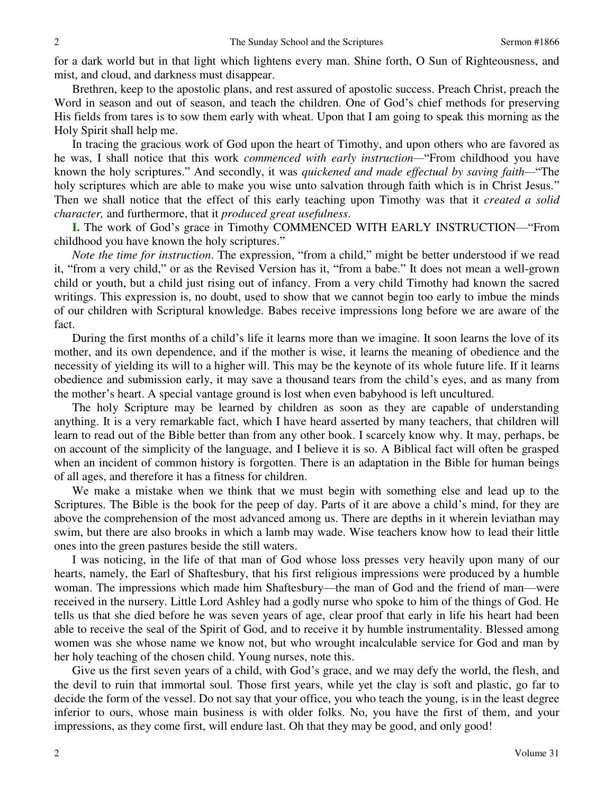for a dark world but in that light which lightens every man. Shine forth, O Sun of Righteousness, and mist, and cloud, and darkness must disappear.

 Brethren, keep to the apostolic plans, and rest assured of apostolic success. Preach Christ, preach the Word in season and out of season, and teach the children. One of God's chief methods for preserving His fields from tares is to sow them early with wheat. Upon that I am going to speak this morning as the Holy Spirit shall help me.

 In tracing the gracious work of God upon the heart of Timothy, and upon others who are favored as he was, I shall notice that this work *commenced with early instruction—*"From childhood you have known the holy scriptures." And secondly, it was *quickened and made effectual by saving faith—*"The holy scriptures which are able to make you wise unto salvation through faith which is in Christ Jesus." Then we shall notice that the effect of this early teaching upon Timothy was that it *created a solid character,* and furthermore, that it *produced great usefulness*.

**I.** The work of God's grace in Timothy COMMENCED WITH EARLY INSTRUCTION—"From childhood you have known the holy scriptures."

 *Note the time for instruction*. The expression, "from a child," might be better understood if we read it, "from a very child," or as the Revised Version has it, "from a babe." It does not mean a well-grown child or youth, but a child just rising out of infancy. From a very child Timothy had known the sacred writings. This expression is, no doubt, used to show that we cannot begin too early to imbue the minds of our children with Scriptural knowledge. Babes receive impressions long before we are aware of the fact.

 During the first months of a child's life it learns more than we imagine. It soon learns the love of its mother, and its own dependence, and if the mother is wise, it learns the meaning of obedience and the necessity of yielding its will to a higher will. This may be the keynote of its whole future life. If it learns obedience and submission early, it may save a thousand tears from the child's eyes, and as many from the mother's heart. A special vantage ground is lost when even babyhood is left uncultured.

 The holy Scripture may be learned by children as soon as they are capable of understanding anything. It is a very remarkable fact, which I have heard asserted by many teachers, that children will learn to read out of the Bible better than from any other book. I scarcely know why. It may, perhaps, be on account of the simplicity of the language, and I believe it is so. A Biblical fact will often be grasped when an incident of common history is forgotten. There is an adaptation in the Bible for human beings of all ages, and therefore it has a fitness for children.

 We make a mistake when we think that we must begin with something else and lead up to the Scriptures. The Bible is the book for the peep of day. Parts of it are above a child's mind, for they are above the comprehension of the most advanced among us. There are depths in it wherein leviathan may swim, but there are also brooks in which a lamb may wade. Wise teachers know how to lead their little ones into the green pastures beside the still waters.

 I was noticing, in the life of that man of God whose loss presses very heavily upon many of our hearts, namely, the Earl of Shaftesbury, that his first religious impressions were produced by a humble woman. The impressions which made him Shaftesbury—the man of God and the friend of man—were received in the nursery. Little Lord Ashley had a godly nurse who spoke to him of the things of God. He tells us that she died before he was seven years of age, clear proof that early in life his heart had been able to receive the seal of the Spirit of God, and to receive it by humble instrumentality. Blessed among women was she whose name we know not, but who wrought incalculable service for God and man by her holy teaching of the chosen child. Young nurses, note this.

 Give us the first seven years of a child, with God's grace, and we may defy the world, the flesh, and the devil to ruin that immortal soul. Those first years, while yet the clay is soft and plastic, go far to decide the form of the vessel. Do not say that your office, you who teach the young, is in the least degree inferior to ours, whose main business is with older folks. No, you have the first of them, and your impressions, as they come first, will endure last. Oh that they may be good, and only good!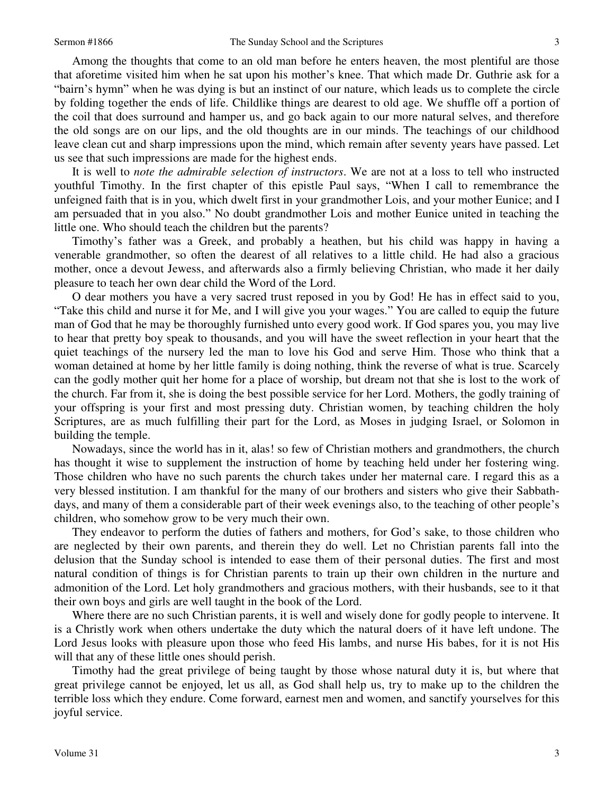Among the thoughts that come to an old man before he enters heaven, the most plentiful are those that aforetime visited him when he sat upon his mother's knee. That which made Dr. Guthrie ask for a "bairn's hymn" when he was dying is but an instinct of our nature, which leads us to complete the circle by folding together the ends of life. Childlike things are dearest to old age. We shuffle off a portion of the coil that does surround and hamper us, and go back again to our more natural selves, and therefore the old songs are on our lips, and the old thoughts are in our minds. The teachings of our childhood leave clean cut and sharp impressions upon the mind, which remain after seventy years have passed. Let us see that such impressions are made for the highest ends.

 It is well to *note the admirable selection of instructors*. We are not at a loss to tell who instructed youthful Timothy. In the first chapter of this epistle Paul says, "When I call to remembrance the unfeigned faith that is in you, which dwelt first in your grandmother Lois, and your mother Eunice; and I am persuaded that in you also." No doubt grandmother Lois and mother Eunice united in teaching the little one. Who should teach the children but the parents?

 Timothy's father was a Greek, and probably a heathen, but his child was happy in having a venerable grandmother, so often the dearest of all relatives to a little child. He had also a gracious mother, once a devout Jewess, and afterwards also a firmly believing Christian, who made it her daily pleasure to teach her own dear child the Word of the Lord.

 O dear mothers you have a very sacred trust reposed in you by God! He has in effect said to you, "Take this child and nurse it for Me, and I will give you your wages." You are called to equip the future man of God that he may be thoroughly furnished unto every good work. If God spares you, you may live to hear that pretty boy speak to thousands, and you will have the sweet reflection in your heart that the quiet teachings of the nursery led the man to love his God and serve Him. Those who think that a woman detained at home by her little family is doing nothing, think the reverse of what is true. Scarcely can the godly mother quit her home for a place of worship, but dream not that she is lost to the work of the church. Far from it, she is doing the best possible service for her Lord. Mothers, the godly training of your offspring is your first and most pressing duty. Christian women, by teaching children the holy Scriptures, are as much fulfilling their part for the Lord, as Moses in judging Israel, or Solomon in building the temple.

 Nowadays, since the world has in it, alas! so few of Christian mothers and grandmothers, the church has thought it wise to supplement the instruction of home by teaching held under her fostering wing. Those children who have no such parents the church takes under her maternal care. I regard this as a very blessed institution. I am thankful for the many of our brothers and sisters who give their Sabbathdays, and many of them a considerable part of their week evenings also, to the teaching of other people's children, who somehow grow to be very much their own.

 They endeavor to perform the duties of fathers and mothers, for God's sake, to those children who are neglected by their own parents, and therein they do well. Let no Christian parents fall into the delusion that the Sunday school is intended to ease them of their personal duties. The first and most natural condition of things is for Christian parents to train up their own children in the nurture and admonition of the Lord. Let holy grandmothers and gracious mothers, with their husbands, see to it that their own boys and girls are well taught in the book of the Lord.

 Where there are no such Christian parents, it is well and wisely done for godly people to intervene. It is a Christly work when others undertake the duty which the natural doers of it have left undone. The Lord Jesus looks with pleasure upon those who feed His lambs, and nurse His babes, for it is not His will that any of these little ones should perish.

 Timothy had the great privilege of being taught by those whose natural duty it is, but where that great privilege cannot be enjoyed, let us all, as God shall help us, try to make up to the children the terrible loss which they endure. Come forward, earnest men and women, and sanctify yourselves for this joyful service.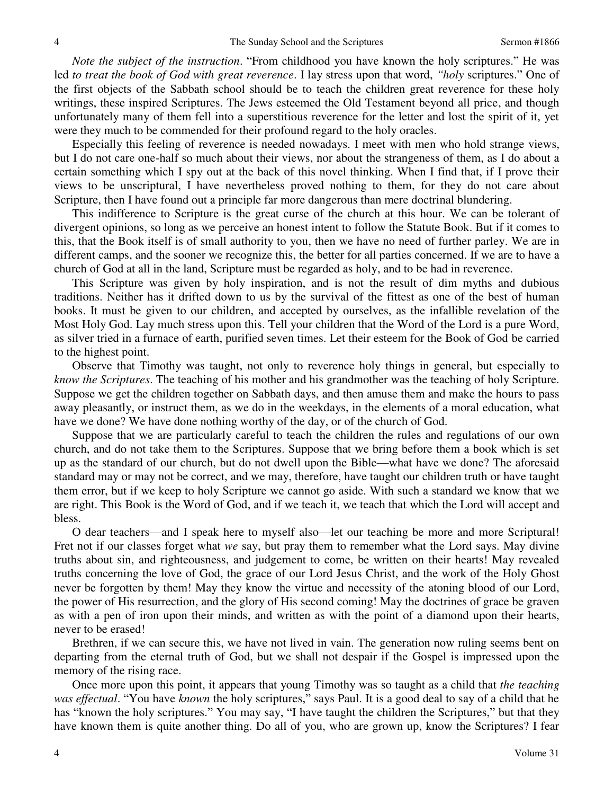*Note the subject of the instruction*. "From childhood you have known the holy scriptures." He was led *to treat the book of God with great reverence*. I lay stress upon that word, *"holy* scriptures." One of the first objects of the Sabbath school should be to teach the children great reverence for these holy writings, these inspired Scriptures. The Jews esteemed the Old Testament beyond all price, and though unfortunately many of them fell into a superstitious reverence for the letter and lost the spirit of it, yet were they much to be commended for their profound regard to the holy oracles.

 Especially this feeling of reverence is needed nowadays. I meet with men who hold strange views, but I do not care one-half so much about their views, nor about the strangeness of them, as I do about a certain something which I spy out at the back of this novel thinking. When I find that, if I prove their views to be unscriptural, I have nevertheless proved nothing to them, for they do not care about Scripture, then I have found out a principle far more dangerous than mere doctrinal blundering.

 This indifference to Scripture is the great curse of the church at this hour. We can be tolerant of divergent opinions, so long as we perceive an honest intent to follow the Statute Book. But if it comes to this, that the Book itself is of small authority to you, then we have no need of further parley. We are in different camps, and the sooner we recognize this, the better for all parties concerned. If we are to have a church of God at all in the land, Scripture must be regarded as holy, and to be had in reverence.

 This Scripture was given by holy inspiration, and is not the result of dim myths and dubious traditions. Neither has it drifted down to us by the survival of the fittest as one of the best of human books. It must be given to our children, and accepted by ourselves, as the infallible revelation of the Most Holy God. Lay much stress upon this. Tell your children that the Word of the Lord is a pure Word, as silver tried in a furnace of earth, purified seven times. Let their esteem for the Book of God be carried to the highest point.

 Observe that Timothy was taught, not only to reverence holy things in general, but especially to *know the Scriptures*. The teaching of his mother and his grandmother was the teaching of holy Scripture. Suppose we get the children together on Sabbath days, and then amuse them and make the hours to pass away pleasantly, or instruct them, as we do in the weekdays, in the elements of a moral education, what have we done? We have done nothing worthy of the day, or of the church of God.

 Suppose that we are particularly careful to teach the children the rules and regulations of our own church, and do not take them to the Scriptures. Suppose that we bring before them a book which is set up as the standard of our church, but do not dwell upon the Bible—what have we done? The aforesaid standard may or may not be correct, and we may, therefore, have taught our children truth or have taught them error, but if we keep to holy Scripture we cannot go aside. With such a standard we know that we are right. This Book is the Word of God, and if we teach it, we teach that which the Lord will accept and bless.

 O dear teachers—and I speak here to myself also—let our teaching be more and more Scriptural! Fret not if our classes forget what *we* say, but pray them to remember what the Lord says. May divine truths about sin, and righteousness, and judgement to come, be written on their hearts! May revealed truths concerning the love of God, the grace of our Lord Jesus Christ, and the work of the Holy Ghost never be forgotten by them! May they know the virtue and necessity of the atoning blood of our Lord, the power of His resurrection, and the glory of His second coming! May the doctrines of grace be graven as with a pen of iron upon their minds, and written as with the point of a diamond upon their hearts, never to be erased!

 Brethren, if we can secure this, we have not lived in vain. The generation now ruling seems bent on departing from the eternal truth of God, but we shall not despair if the Gospel is impressed upon the memory of the rising race.

 Once more upon this point, it appears that young Timothy was so taught as a child that *the teaching was effectual*. "You have *known* the holy scriptures," says Paul. It is a good deal to say of a child that he has "known the holy scriptures." You may say, "I have taught the children the Scriptures," but that they have known them is quite another thing. Do all of you, who are grown up, know the Scriptures? I fear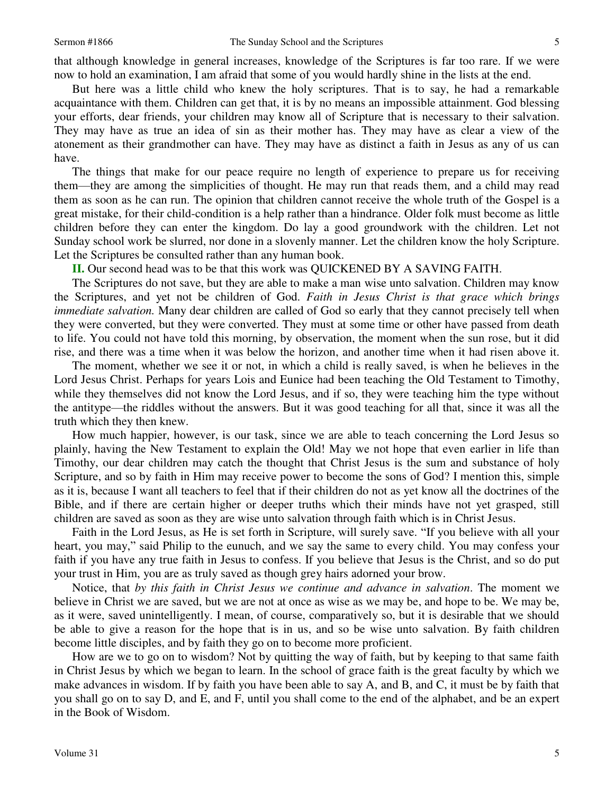that although knowledge in general increases, knowledge of the Scriptures is far too rare. If we were now to hold an examination, I am afraid that some of you would hardly shine in the lists at the end.

 But here was a little child who knew the holy scriptures. That is to say, he had a remarkable acquaintance with them. Children can get that, it is by no means an impossible attainment. God blessing your efforts, dear friends, your children may know all of Scripture that is necessary to their salvation. They may have as true an idea of sin as their mother has. They may have as clear a view of the atonement as their grandmother can have. They may have as distinct a faith in Jesus as any of us can have.

 The things that make for our peace require no length of experience to prepare us for receiving them—they are among the simplicities of thought. He may run that reads them, and a child may read them as soon as he can run. The opinion that children cannot receive the whole truth of the Gospel is a great mistake, for their child-condition is a help rather than a hindrance. Older folk must become as little children before they can enter the kingdom. Do lay a good groundwork with the children. Let not Sunday school work be slurred, nor done in a slovenly manner. Let the children know the holy Scripture. Let the Scriptures be consulted rather than any human book.

**II.** Our second head was to be that this work was QUICKENED BY A SAVING FAITH.

 The Scriptures do not save, but they are able to make a man wise unto salvation. Children may know the Scriptures, and yet not be children of God. *Faith in Jesus Christ is that grace which brings immediate salvation.* Many dear children are called of God so early that they cannot precisely tell when they were converted, but they were converted. They must at some time or other have passed from death to life. You could not have told this morning, by observation, the moment when the sun rose, but it did rise, and there was a time when it was below the horizon, and another time when it had risen above it.

 The moment, whether we see it or not, in which a child is really saved, is when he believes in the Lord Jesus Christ. Perhaps for years Lois and Eunice had been teaching the Old Testament to Timothy, while they themselves did not know the Lord Jesus, and if so, they were teaching him the type without the antitype—the riddles without the answers. But it was good teaching for all that, since it was all the truth which they then knew.

 How much happier, however, is our task, since we are able to teach concerning the Lord Jesus so plainly, having the New Testament to explain the Old! May we not hope that even earlier in life than Timothy, our dear children may catch the thought that Christ Jesus is the sum and substance of holy Scripture, and so by faith in Him may receive power to become the sons of God? I mention this, simple as it is, because I want all teachers to feel that if their children do not as yet know all the doctrines of the Bible, and if there are certain higher or deeper truths which their minds have not yet grasped, still children are saved as soon as they are wise unto salvation through faith which is in Christ Jesus.

 Faith in the Lord Jesus, as He is set forth in Scripture, will surely save. "If you believe with all your heart, you may," said Philip to the eunuch, and we say the same to every child. You may confess your faith if you have any true faith in Jesus to confess. If you believe that Jesus is the Christ, and so do put your trust in Him, you are as truly saved as though grey hairs adorned your brow.

 Notice, that *by this faith in Christ Jesus we continue and advance in salvation*. The moment we believe in Christ we are saved, but we are not at once as wise as we may be, and hope to be. We may be, as it were, saved unintelligently. I mean, of course, comparatively so, but it is desirable that we should be able to give a reason for the hope that is in us, and so be wise unto salvation. By faith children become little disciples, and by faith they go on to become more proficient.

 How are we to go on to wisdom? Not by quitting the way of faith, but by keeping to that same faith in Christ Jesus by which we began to learn. In the school of grace faith is the great faculty by which we make advances in wisdom. If by faith you have been able to say A, and B, and C, it must be by faith that you shall go on to say D, and E, and F, until you shall come to the end of the alphabet, and be an expert in the Book of Wisdom.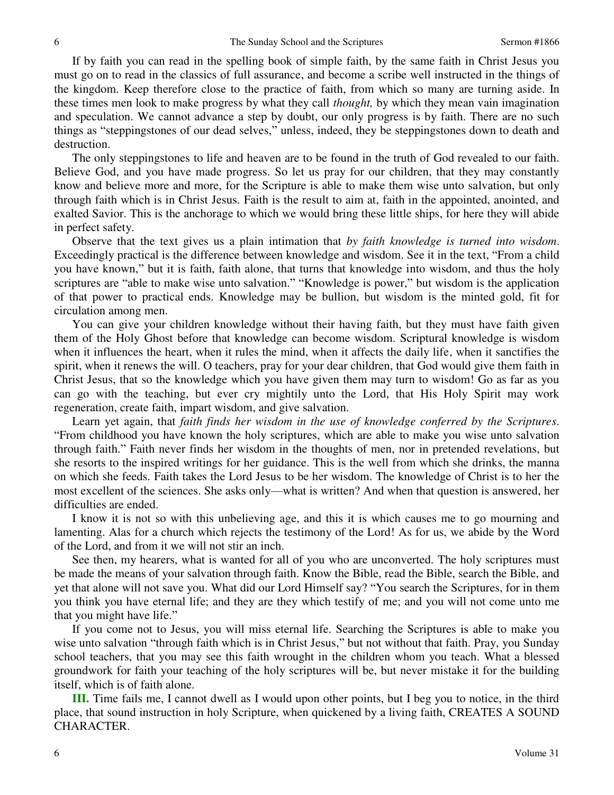If by faith you can read in the spelling book of simple faith, by the same faith in Christ Jesus you must go on to read in the classics of full assurance, and become a scribe well instructed in the things of the kingdom. Keep therefore close to the practice of faith, from which so many are turning aside. In these times men look to make progress by what they call *thought,* by which they mean vain imagination and speculation. We cannot advance a step by doubt, our only progress is by faith. There are no such things as "steppingstones of our dead selves," unless, indeed, they be steppingstones down to death and destruction.

 The only steppingstones to life and heaven are to be found in the truth of God revealed to our faith. Believe God, and you have made progress. So let us pray for our children, that they may constantly know and believe more and more, for the Scripture is able to make them wise unto salvation, but only through faith which is in Christ Jesus. Faith is the result to aim at, faith in the appointed, anointed, and exalted Savior. This is the anchorage to which we would bring these little ships, for here they will abide in perfect safety.

 Observe that the text gives us a plain intimation that *by faith knowledge is turned into wisdom*. Exceedingly practical is the difference between knowledge and wisdom. See it in the text, "From a child you have known," but it is faith, faith alone, that turns that knowledge into wisdom, and thus the holy scriptures are "able to make wise unto salvation." "Knowledge is power," but wisdom is the application of that power to practical ends. Knowledge may be bullion, but wisdom is the minted gold, fit for circulation among men.

 You can give your children knowledge without their having faith, but they must have faith given them of the Holy Ghost before that knowledge can become wisdom. Scriptural knowledge is wisdom when it influences the heart, when it rules the mind, when it affects the daily life, when it sanctifies the spirit, when it renews the will. O teachers, pray for your dear children, that God would give them faith in Christ Jesus, that so the knowledge which you have given them may turn to wisdom! Go as far as you can go with the teaching, but ever cry mightily unto the Lord, that His Holy Spirit may work regeneration, create faith, impart wisdom, and give salvation.

 Learn yet again, that *faith finds her wisdom in the use of knowledge conferred by the Scriptures*. "From childhood you have known the holy scriptures, which are able to make you wise unto salvation through faith." Faith never finds her wisdom in the thoughts of men, nor in pretended revelations, but she resorts to the inspired writings for her guidance. This is the well from which she drinks, the manna on which she feeds. Faith takes the Lord Jesus to be her wisdom. The knowledge of Christ is to her the most excellent of the sciences. She asks only—what is written? And when that question is answered, her difficulties are ended.

 I know it is not so with this unbelieving age, and this it is which causes me to go mourning and lamenting. Alas for a church which rejects the testimony of the Lord! As for us, we abide by the Word of the Lord, and from it we will not stir an inch.

 See then, my hearers, what is wanted for all of you who are unconverted. The holy scriptures must be made the means of your salvation through faith. Know the Bible, read the Bible, search the Bible, and yet that alone will not save you. What did our Lord Himself say? "You search the Scriptures, for in them you think you have eternal life; and they are they which testify of me; and you will not come unto me that you might have life."

 If you come not to Jesus, you will miss eternal life. Searching the Scriptures is able to make you wise unto salvation "through faith which is in Christ Jesus," but not without that faith. Pray, you Sunday school teachers, that you may see this faith wrought in the children whom you teach. What a blessed groundwork for faith your teaching of the holy scriptures will be, but never mistake it for the building itself, which is of faith alone.

**III.** Time fails me, I cannot dwell as I would upon other points, but I beg you to notice, in the third place, that sound instruction in holy Scripture, when quickened by a living faith, CREATES A SOUND CHARACTER.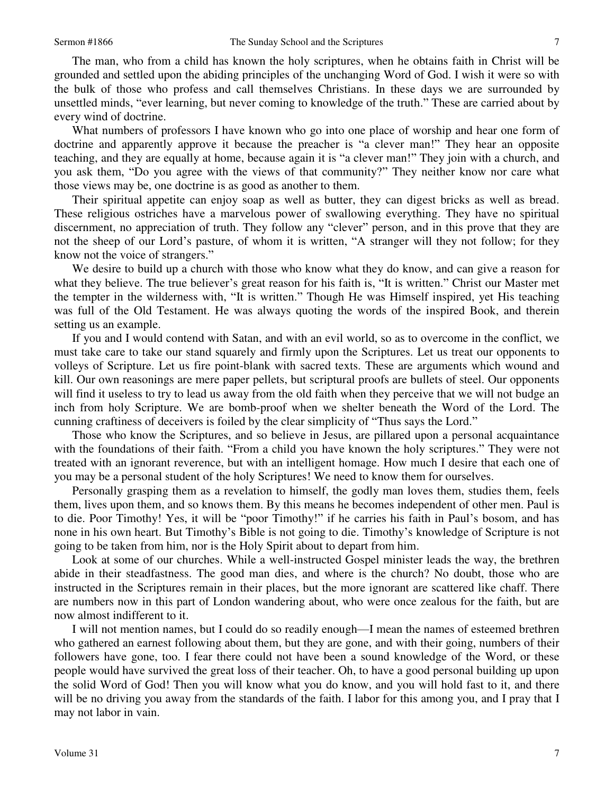The man, who from a child has known the holy scriptures, when he obtains faith in Christ will be grounded and settled upon the abiding principles of the unchanging Word of God. I wish it were so with the bulk of those who profess and call themselves Christians. In these days we are surrounded by unsettled minds, "ever learning, but never coming to knowledge of the truth." These are carried about by every wind of doctrine.

What numbers of professors I have known who go into one place of worship and hear one form of doctrine and apparently approve it because the preacher is "a clever man!" They hear an opposite teaching, and they are equally at home, because again it is "a clever man!" They join with a church, and you ask them, "Do you agree with the views of that community?" They neither know nor care what those views may be, one doctrine is as good as another to them.

 Their spiritual appetite can enjoy soap as well as butter, they can digest bricks as well as bread. These religious ostriches have a marvelous power of swallowing everything. They have no spiritual discernment, no appreciation of truth. They follow any "clever" person, and in this prove that they are not the sheep of our Lord's pasture, of whom it is written, "A stranger will they not follow; for they know not the voice of strangers."

We desire to build up a church with those who know what they do know, and can give a reason for what they believe. The true believer's great reason for his faith is, "It is written." Christ our Master met the tempter in the wilderness with, "It is written." Though He was Himself inspired, yet His teaching was full of the Old Testament. He was always quoting the words of the inspired Book, and therein setting us an example.

 If you and I would contend with Satan, and with an evil world, so as to overcome in the conflict, we must take care to take our stand squarely and firmly upon the Scriptures. Let us treat our opponents to volleys of Scripture. Let us fire point-blank with sacred texts. These are arguments which wound and kill. Our own reasonings are mere paper pellets, but scriptural proofs are bullets of steel. Our opponents will find it useless to try to lead us away from the old faith when they perceive that we will not budge an inch from holy Scripture. We are bomb-proof when we shelter beneath the Word of the Lord. The cunning craftiness of deceivers is foiled by the clear simplicity of "Thus says the Lord."

 Those who know the Scriptures, and so believe in Jesus, are pillared upon a personal acquaintance with the foundations of their faith. "From a child you have known the holy scriptures." They were not treated with an ignorant reverence, but with an intelligent homage. How much I desire that each one of you may be a personal student of the holy Scriptures! We need to know them for ourselves.

 Personally grasping them as a revelation to himself, the godly man loves them, studies them, feels them, lives upon them, and so knows them. By this means he becomes independent of other men. Paul is to die. Poor Timothy! Yes, it will be "poor Timothy!" if he carries his faith in Paul's bosom, and has none in his own heart. But Timothy's Bible is not going to die. Timothy's knowledge of Scripture is not going to be taken from him, nor is the Holy Spirit about to depart from him.

 Look at some of our churches. While a well-instructed Gospel minister leads the way, the brethren abide in their steadfastness. The good man dies, and where is the church? No doubt, those who are instructed in the Scriptures remain in their places, but the more ignorant are scattered like chaff. There are numbers now in this part of London wandering about, who were once zealous for the faith, but are now almost indifferent to it.

 I will not mention names, but I could do so readily enough—I mean the names of esteemed brethren who gathered an earnest following about them, but they are gone, and with their going, numbers of their followers have gone, too. I fear there could not have been a sound knowledge of the Word, or these people would have survived the great loss of their teacher. Oh, to have a good personal building up upon the solid Word of God! Then you will know what you do know, and you will hold fast to it, and there will be no driving you away from the standards of the faith. I labor for this among you, and I pray that I may not labor in vain.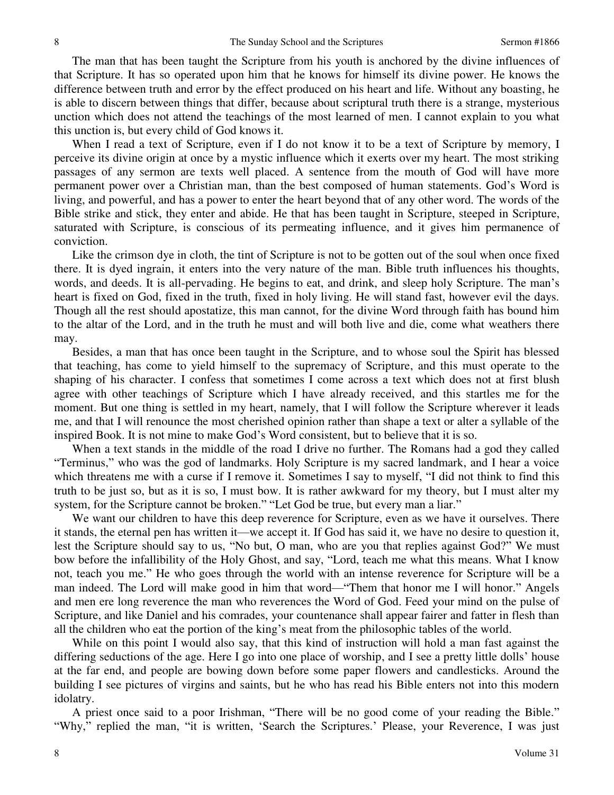The man that has been taught the Scripture from his youth is anchored by the divine influences of that Scripture. It has so operated upon him that he knows for himself its divine power. He knows the difference between truth and error by the effect produced on his heart and life. Without any boasting, he is able to discern between things that differ, because about scriptural truth there is a strange, mysterious unction which does not attend the teachings of the most learned of men. I cannot explain to you what this unction is, but every child of God knows it.

 When I read a text of Scripture, even if I do not know it to be a text of Scripture by memory, I perceive its divine origin at once by a mystic influence which it exerts over my heart. The most striking passages of any sermon are texts well placed. A sentence from the mouth of God will have more permanent power over a Christian man, than the best composed of human statements. God's Word is living, and powerful, and has a power to enter the heart beyond that of any other word. The words of the Bible strike and stick, they enter and abide. He that has been taught in Scripture, steeped in Scripture, saturated with Scripture, is conscious of its permeating influence, and it gives him permanence of conviction.

 Like the crimson dye in cloth, the tint of Scripture is not to be gotten out of the soul when once fixed there. It is dyed ingrain, it enters into the very nature of the man. Bible truth influences his thoughts, words, and deeds. It is all-pervading. He begins to eat, and drink, and sleep holy Scripture. The man's heart is fixed on God, fixed in the truth, fixed in holy living. He will stand fast, however evil the days. Though all the rest should apostatize, this man cannot, for the divine Word through faith has bound him to the altar of the Lord, and in the truth he must and will both live and die, come what weathers there may.

 Besides, a man that has once been taught in the Scripture, and to whose soul the Spirit has blessed that teaching, has come to yield himself to the supremacy of Scripture, and this must operate to the shaping of his character. I confess that sometimes I come across a text which does not at first blush agree with other teachings of Scripture which I have already received, and this startles me for the moment. But one thing is settled in my heart, namely, that I will follow the Scripture wherever it leads me, and that I will renounce the most cherished opinion rather than shape a text or alter a syllable of the inspired Book. It is not mine to make God's Word consistent, but to believe that it is so.

 When a text stands in the middle of the road I drive no further. The Romans had a god they called "Terminus," who was the god of landmarks. Holy Scripture is my sacred landmark, and I hear a voice which threatens me with a curse if I remove it. Sometimes I say to myself, "I did not think to find this truth to be just so, but as it is so, I must bow. It is rather awkward for my theory, but I must alter my system, for the Scripture cannot be broken." "Let God be true, but every man a liar."

 We want our children to have this deep reverence for Scripture, even as we have it ourselves. There it stands, the eternal pen has written it—we accept it. If God has said it, we have no desire to question it, lest the Scripture should say to us, "No but, O man, who are you that replies against God?" We must bow before the infallibility of the Holy Ghost, and say, "Lord, teach me what this means. What I know not, teach you me." He who goes through the world with an intense reverence for Scripture will be a man indeed. The Lord will make good in him that word—"Them that honor me I will honor." Angels and men ere long reverence the man who reverences the Word of God. Feed your mind on the pulse of Scripture, and like Daniel and his comrades, your countenance shall appear fairer and fatter in flesh than all the children who eat the portion of the king's meat from the philosophic tables of the world.

While on this point I would also say, that this kind of instruction will hold a man fast against the differing seductions of the age. Here I go into one place of worship, and I see a pretty little dolls' house at the far end, and people are bowing down before some paper flowers and candlesticks. Around the building I see pictures of virgins and saints, but he who has read his Bible enters not into this modern idolatry.

 A priest once said to a poor Irishman, "There will be no good come of your reading the Bible." "Why," replied the man, "it is written, 'Search the Scriptures.' Please, your Reverence, I was just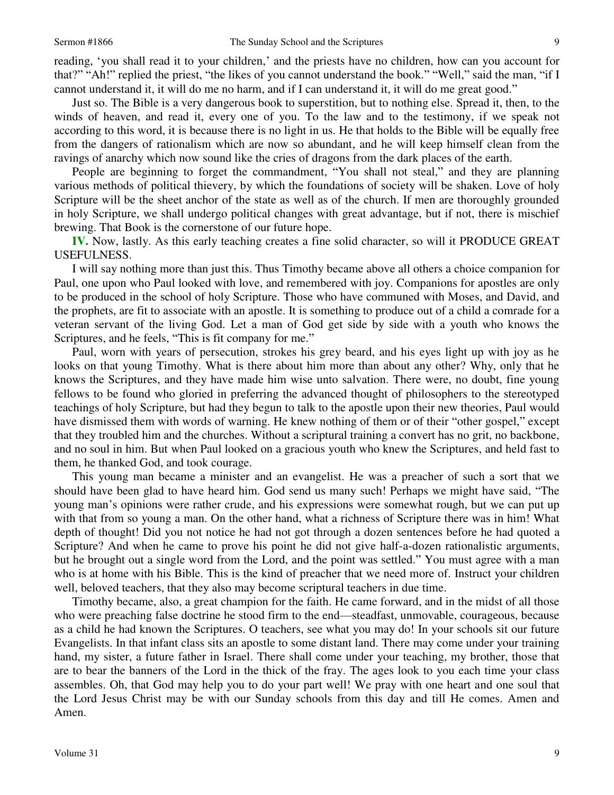reading, 'you shall read it to your children,' and the priests have no children, how can you account for that?" "Ah!" replied the priest, "the likes of you cannot understand the book." "Well," said the man, "if I cannot understand it, it will do me no harm, and if I can understand it, it will do me great good."

 Just so. The Bible is a very dangerous book to superstition, but to nothing else. Spread it, then, to the winds of heaven, and read it, every one of you. To the law and to the testimony, if we speak not according to this word, it is because there is no light in us. He that holds to the Bible will be equally free from the dangers of rationalism which are now so abundant, and he will keep himself clean from the ravings of anarchy which now sound like the cries of dragons from the dark places of the earth.

 People are beginning to forget the commandment, "You shall not steal," and they are planning various methods of political thievery, by which the foundations of society will be shaken. Love of holy Scripture will be the sheet anchor of the state as well as of the church. If men are thoroughly grounded in holy Scripture, we shall undergo political changes with great advantage, but if not, there is mischief brewing. That Book is the cornerstone of our future hope.

**IV.** Now, lastly. As this early teaching creates a fine solid character, so will it PRODUCE GREAT USEFULNESS.

 I will say nothing more than just this. Thus Timothy became above all others a choice companion for Paul, one upon who Paul looked with love, and remembered with joy. Companions for apostles are only to be produced in the school of holy Scripture. Those who have communed with Moses, and David, and the prophets, are fit to associate with an apostle. It is something to produce out of a child a comrade for a veteran servant of the living God. Let a man of God get side by side with a youth who knows the Scriptures, and he feels, "This is fit company for me."

 Paul, worn with years of persecution, strokes his grey beard, and his eyes light up with joy as he looks on that young Timothy. What is there about him more than about any other? Why, only that he knows the Scriptures, and they have made him wise unto salvation. There were, no doubt, fine young fellows to be found who gloried in preferring the advanced thought of philosophers to the stereotyped teachings of holy Scripture, but had they begun to talk to the apostle upon their new theories, Paul would have dismissed them with words of warning. He knew nothing of them or of their "other gospel," except that they troubled him and the churches. Without a scriptural training a convert has no grit, no backbone, and no soul in him. But when Paul looked on a gracious youth who knew the Scriptures, and held fast to them, he thanked God, and took courage.

 This young man became a minister and an evangelist. He was a preacher of such a sort that we should have been glad to have heard him. God send us many such! Perhaps we might have said, "The young man's opinions were rather crude, and his expressions were somewhat rough, but we can put up with that from so young a man. On the other hand, what a richness of Scripture there was in him! What depth of thought! Did you not notice he had not got through a dozen sentences before he had quoted a Scripture? And when he came to prove his point he did not give half-a-dozen rationalistic arguments, but he brought out a single word from the Lord, and the point was settled." You must agree with a man who is at home with his Bible. This is the kind of preacher that we need more of. Instruct your children well, beloved teachers, that they also may become scriptural teachers in due time.

 Timothy became, also, a great champion for the faith. He came forward, and in the midst of all those who were preaching false doctrine he stood firm to the end—steadfast, unmovable, courageous, because as a child he had known the Scriptures. O teachers, see what you may do! In your schools sit our future Evangelists. In that infant class sits an apostle to some distant land. There may come under your training hand, my sister, a future father in Israel. There shall come under your teaching, my brother, those that are to bear the banners of the Lord in the thick of the fray. The ages look to you each time your class assembles. Oh, that God may help you to do your part well! We pray with one heart and one soul that the Lord Jesus Christ may be with our Sunday schools from this day and till He comes. Amen and Amen.